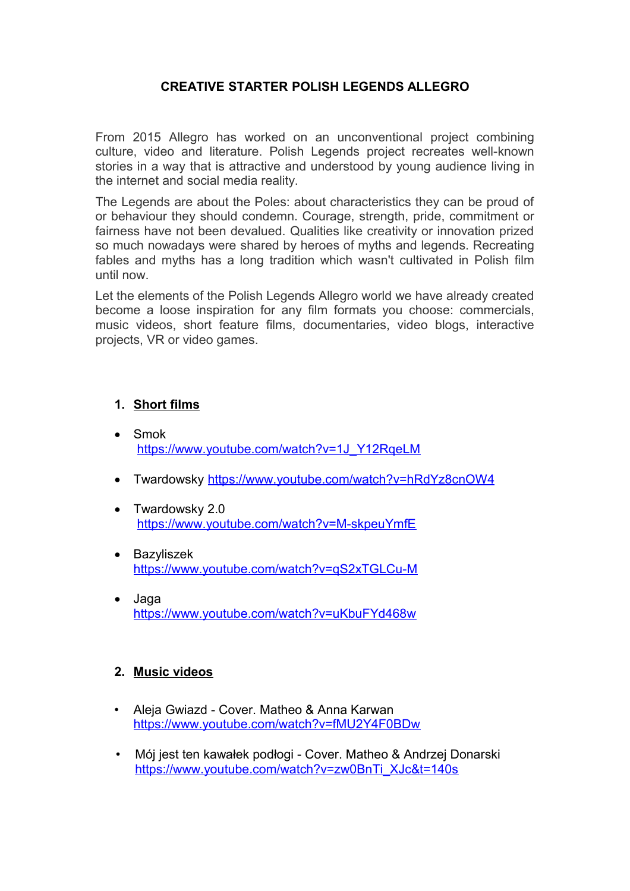## **CREATIVE STARTER POLISH LEGENDS ALLEGRO**

From 2015 Allegro has worked on an unconventional project combining culture, video and literature. Polish Legends project recreates well-known stories in a way that is attractive and understood by young audience living in the internet and social media reality.

The Legends are about the Poles: about characteristics they can be proud of or behaviour they should condemn. Courage, strength, pride, commitment or fairness have not been devalued. Qualities like creativity or innovation prized so much nowadays were shared by heroes of myths and legends. Recreating fables and myths has a long tradition which wasn't cultivated in Polish film until now.

Let the elements of the Polish Legends Allegro world we have already created become a loose inspiration for any film formats you choose: commercials, music videos, short feature films, documentaries, video blogs, interactive projects, VR or video games.

## **1. Short films**

- Smok [https://www.youtube.com/watch?v=1J\\_Y12RqeLM](https://www.youtube.com/watch?v=1J_Y12RqeLM)
- Twardowsky<https://www.youtube.com/watch?v=hRdYz8cnOW4>
- Twardowsky 2.0 <https://www.youtube.com/watch?v=M-skpeuYmfE>
- Bazyliszek <https://www.youtube.com/watch?v=qS2xTGLCu-M>
- Jaga <https://www.youtube.com/watch?v=uKbuFYd468w>

## **2. Music videos**

- Aleja Gwiazd Cover. Matheo & Anna Karwan <https://www.youtube.com/watch?v=fMU2Y4F0BDw>
- Mój jest ten kawałek podłogi Cover. Matheo & Andrzej Donarski [https://www.youtube.com/watch?v=zw0BnTi\\_XJc&t=140s](https://www.youtube.com/watch?v=zw0BnTi_XJc&t=140s)